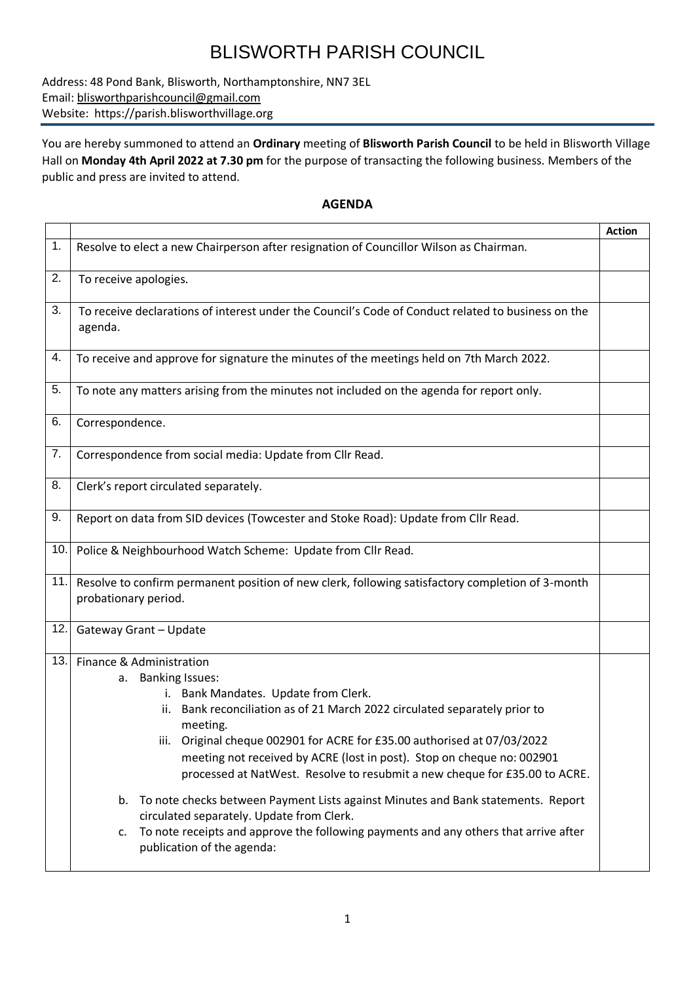## BLISWORTH PARISH COUNCIL

Address: 48 Pond Bank, Blisworth, Northamptonshire, NN7 3EL Email: [blisworthparishcouncil@gmail.com](mailto:blisworthparishcouncil@gmail.com) Website: https://parish.blisworthvillage.org

You are hereby summoned to attend an **Ordinary** meeting of **Blisworth Parish Council** to be held in Blisworth Village Hall on **Monday 4th April 2022 at 7.30 pm** for the purpose of transacting the following business. Members of the public and press are invited to attend.

## **AGENDA**

|     |                                                                                                                                                                                                                                                              | <b>Action</b> |  |  |  |
|-----|--------------------------------------------------------------------------------------------------------------------------------------------------------------------------------------------------------------------------------------------------------------|---------------|--|--|--|
| 1.  | Resolve to elect a new Chairperson after resignation of Councillor Wilson as Chairman.                                                                                                                                                                       |               |  |  |  |
| 2.  | To receive apologies.                                                                                                                                                                                                                                        |               |  |  |  |
| 3.  | To receive declarations of interest under the Council's Code of Conduct related to business on the<br>agenda.                                                                                                                                                |               |  |  |  |
| 4.  | To receive and approve for signature the minutes of the meetings held on 7th March 2022.                                                                                                                                                                     |               |  |  |  |
| 5.  | To note any matters arising from the minutes not included on the agenda for report only.                                                                                                                                                                     |               |  |  |  |
| 6.  | Correspondence.                                                                                                                                                                                                                                              |               |  |  |  |
| 7.  | Correspondence from social media: Update from Cllr Read.                                                                                                                                                                                                     |               |  |  |  |
| 8.  | Clerk's report circulated separately.                                                                                                                                                                                                                        |               |  |  |  |
| 9.  | Report on data from SID devices (Towcester and Stoke Road): Update from CIIr Read.                                                                                                                                                                           |               |  |  |  |
| 10. | Police & Neighbourhood Watch Scheme: Update from Cllr Read.                                                                                                                                                                                                  |               |  |  |  |
| 11. | Resolve to confirm permanent position of new clerk, following satisfactory completion of 3-month<br>probationary period.                                                                                                                                     |               |  |  |  |
| 12. | Gateway Grant - Update                                                                                                                                                                                                                                       |               |  |  |  |
| 13. | Finance & Administration                                                                                                                                                                                                                                     |               |  |  |  |
|     | a. Banking Issues:                                                                                                                                                                                                                                           |               |  |  |  |
|     | i. Bank Mandates. Update from Clerk.                                                                                                                                                                                                                         |               |  |  |  |
|     | Bank reconciliation as of 21 March 2022 circulated separately prior to<br>meeting.                                                                                                                                                                           |               |  |  |  |
|     | iii. Original cheque 002901 for ACRE for £35.00 authorised at 07/03/2022                                                                                                                                                                                     |               |  |  |  |
|     | meeting not received by ACRE (lost in post). Stop on cheque no: 002901                                                                                                                                                                                       |               |  |  |  |
|     | processed at NatWest. Resolve to resubmit a new cheque for £35.00 to ACRE.                                                                                                                                                                                   |               |  |  |  |
|     | b. To note checks between Payment Lists against Minutes and Bank statements. Report<br>circulated separately. Update from Clerk.<br>To note receipts and approve the following payments and any others that arrive after<br>c.<br>publication of the agenda: |               |  |  |  |
|     |                                                                                                                                                                                                                                                              |               |  |  |  |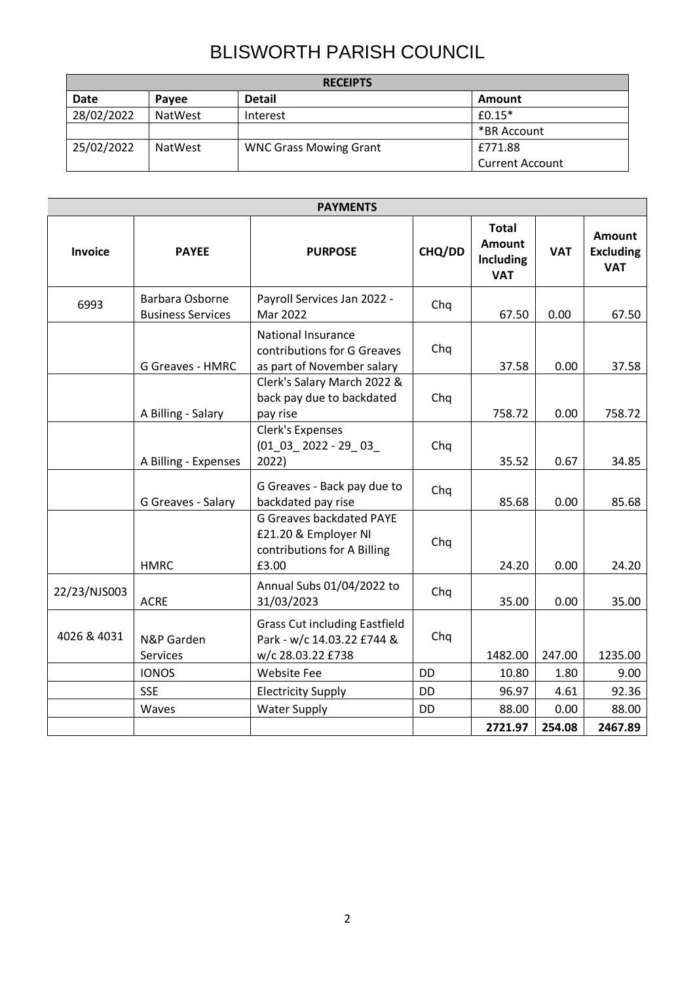## BLISWORTH PARISH COUNCIL

| <b>RECEIPTS</b> |                |                               |                        |  |  |  |
|-----------------|----------------|-------------------------------|------------------------|--|--|--|
| <b>Date</b>     | Pavee          | <b>Detail</b>                 | Amount                 |  |  |  |
| 28/02/2022      | <b>NatWest</b> | Interest                      | $f0.15*$               |  |  |  |
|                 |                |                               | *BR Account            |  |  |  |
| 25/02/2022      | <b>NatWest</b> | <b>WNC Grass Mowing Grant</b> | £771.88                |  |  |  |
|                 |                |                               | <b>Current Account</b> |  |  |  |

| <b>PAYMENTS</b> |                                             |                                                                                                 |           |                                                          |            |                                                 |
|-----------------|---------------------------------------------|-------------------------------------------------------------------------------------------------|-----------|----------------------------------------------------------|------------|-------------------------------------------------|
| Invoice         | <b>PAYEE</b>                                | <b>PURPOSE</b>                                                                                  | CHQ/DD    | <b>Total</b><br><b>Amount</b><br>Including<br><b>VAT</b> | <b>VAT</b> | <b>Amount</b><br><b>Excluding</b><br><b>VAT</b> |
| 6993            | Barbara Osborne<br><b>Business Services</b> | Payroll Services Jan 2022 -<br>Mar 2022                                                         | Chq       | 67.50                                                    | 0.00       | 67.50                                           |
|                 | <b>G Greaves - HMRC</b>                     | <b>National Insurance</b><br>contributions for G Greaves<br>as part of November salary          | Chq       | 37.58                                                    | 0.00       | 37.58                                           |
|                 | A Billing - Salary                          | Clerk's Salary March 2022 &<br>back pay due to backdated<br>pay rise                            | Chq       | 758.72                                                   | 0.00       | 758.72                                          |
|                 | A Billing - Expenses                        | Clerk's Expenses<br>$(01_03_2022 - 29_03_$<br>2022)                                             | Chq       | 35.52                                                    | 0.67       | 34.85                                           |
|                 | G Greaves - Salary                          | G Greaves - Back pay due to<br>backdated pay rise                                               | Chq       | 85.68                                                    | 0.00       | 85.68                                           |
|                 | <b>HMRC</b>                                 | <b>G Greaves backdated PAYE</b><br>£21.20 & Employer NI<br>contributions for A Billing<br>£3.00 | Chq       | 24.20                                                    | 0.00       | 24.20                                           |
| 22/23/NJS003    | <b>ACRE</b>                                 | Annual Subs 01/04/2022 to<br>31/03/2023                                                         | Chq       | 35.00                                                    | 0.00       | 35.00                                           |
| 4026 & 4031     | N&P Garden<br>Services                      | <b>Grass Cut including Eastfield</b><br>Park - w/c 14.03.22 £744 &<br>w/c 28.03.22 £738         | Chq       | 1482.00                                                  | 247.00     | 1235.00                                         |
|                 | <b>IONOS</b>                                | <b>Website Fee</b>                                                                              | <b>DD</b> | 10.80                                                    | 1.80       | 9.00                                            |
|                 | <b>SSE</b>                                  | <b>Electricity Supply</b>                                                                       | <b>DD</b> | 96.97                                                    | 4.61       | 92.36                                           |
|                 | Waves                                       | <b>Water Supply</b>                                                                             | DD        | 88.00                                                    | 0.00       | 88.00                                           |
|                 |                                             |                                                                                                 |           | 2721.97                                                  | 254.08     | 2467.89                                         |